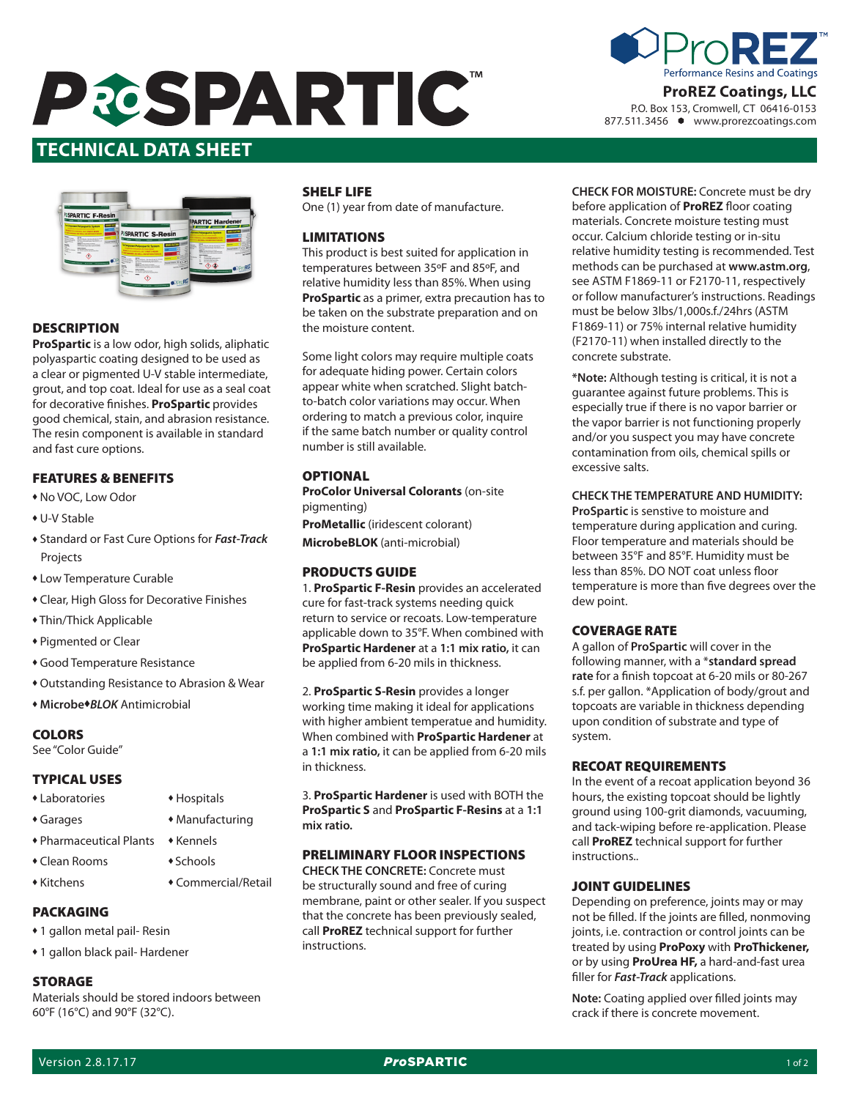# **PRESPARTIC**





# **DESCRIPTION**

**ProSpartic** is a low odor, high solids, aliphatic polyaspartic coating designed to be used as a clear or pigmented U-V stable intermediate, grout, and top coat. Ideal for use as a seal coat for decorative finishes. **ProSpartic** provides good chemical, stain, and abrasion resistance. The resin component is available in standard and fast cure options.

# FEATURES & BENEFITS

- $*$  No VOC, Low Odor
- ◆ U-V Stable
- **\* Standard or Fast Cure Options for Fast-Track** Projects
- Low Temperature Curable
- Clear, High Gloss for Decorative Finishes
- Thin/Thick Applicable
- Pigmented or Clear
- Good Temperature Resistance
- $\bullet$  Outstanding Resistance to Abrasion & Wear
- ◆ Microbe◆BLOK Antimicrobial

# **COLORS**

See "Color Guide"

## TYPICAL USES

- Laboratories Hospitals
- Garages Manufacturing
- $\bullet$  Pharmaceutical Plants  $\bullet$  Kennels
- Clean Rooms Schools
- <sup>u</sup> Kitchens u Commercial/Retail
- PACKAGING
- 1 gallon metal pail- Resin
- 1 gallon black pail- Hardener

#### STORAGE

Materials should be stored indoors between 60°F (16°C) and 90°F (32°C).

# SHELF LIFE

One (1) year from date of manufacture.

## LIMITATIONS

This product is best suited for application in temperatures between 35ºF and 85ºF, and relative humidity less than 85%. When using **ProSpartic** as a primer, extra precaution has to be taken on the substrate preparation and on the moisture content.

Some light colors may require multiple coats for adequate hiding power. Certain colors appear white when scratched. Slight batchto-batch color variations may occur. When ordering to match a previous color, inquire if the same batch number or quality control number is still available.

# **OPTIONAL**

**ProColor Universal Colorants** (on-site pigmenting)

**ProMetallic** (iridescent colorant)

**MicrobeBLOK** (anti-microbial)

# PRODUCTS GUIDE

1. **ProSpartic F-Resin** provides an accelerated cure for fast-track systems needing quick return to service or recoats. Low-temperature applicable down to 35°F. When combined with **ProSpartic Hardener** at a **1:1 mix ratio,** it can be applied from 6-20 mils in thickness.

2. **ProSpartic S-Resin** provides a longer working time making it ideal for applications with higher ambient temperatue and humidity. When combined with **ProSpartic Hardener** at a **1:1 mix ratio,** it can be applied from 6-20 mils in thickness.

3. **ProSpartic Hardener** is used with BOTH the **ProSpartic S** and **ProSpartic F-Resins** at a **1:1 mix ratio.**

#### PRELIMINARY FLOOR INSPECTIONS

**CHECK THE CONCRETE:** Concrete must be structurally sound and free of curing membrane, paint or other sealer. If you suspect that the concrete has been previously sealed, call **ProREZ** technical support for further instructions.

**Date Issued: 10/01/2014 Version: 1.0 CHECK FOR MOISTURE:** Concrete must be dry before application of **ProREZ** floor coating materials. Concrete moisture testing must occur. Calcium chloride testing or in-situ relative humidity testing is recommended. Test methods can be purchased at **www.astm.org**, see ASTM F1869-11 or F2170-11, respectively or follow manufacturer's instructions. Readings must be below 3lbs/1,000s.f./24hrs (ASTM F1869-11) or 75% internal relative humidity

> **\*Note:** Although testing is critical, it is not a guarantee against future problems. This is especially true if there is no vapor barrier or the vapor barrier is not functioning properly and/or you suspect you may have concrete contamination from oils, chemical spills or excessive salts.

(F2170-11) when installed directly to the

concrete substrate.

**CHECK THE TEMPERATURE AND HUMIDITY:**

**ProSpartic** is senstive to moisture and temperature during application and curing. Floor temperature and materials should be between 35°F and 85°F. Humidity must be less than 85%. DO NOT coat unless floor temperature is more than five degrees over the dew point.

# COVERAGE RATE

A gallon of **ProSpartic** will cover in the following manner, with a \***standard spread rate** for a finish topcoat at 6-20 mils or 80-267 s.f. per gallon. \*Application of body/grout and topcoats are variable in thickness depending upon condition of substrate and type of system.

#### RECOAT REQUIREMENTS

In the event of a recoat application beyond 36 hours, the existing topcoat should be lightly ground using 100-grit diamonds, vacuuming, and tack-wiping before re-application. Please call **ProREZ** technical support for further instructions..

## JOINT GUIDELINES

Depending on preference, joints may or may not be filled. If the joints are filled, nonmoving joints, i.e. contraction or control joints can be treated by using **ProPoxy** with **ProThickener,** or by using **ProUrea HF,** a hard-and-fast urea filler for *Fast-Track* applications.

**Note:** Coating applied over filled joints may crack if there is concrete movement.



877.511.3456 www.prorezcoatings.com